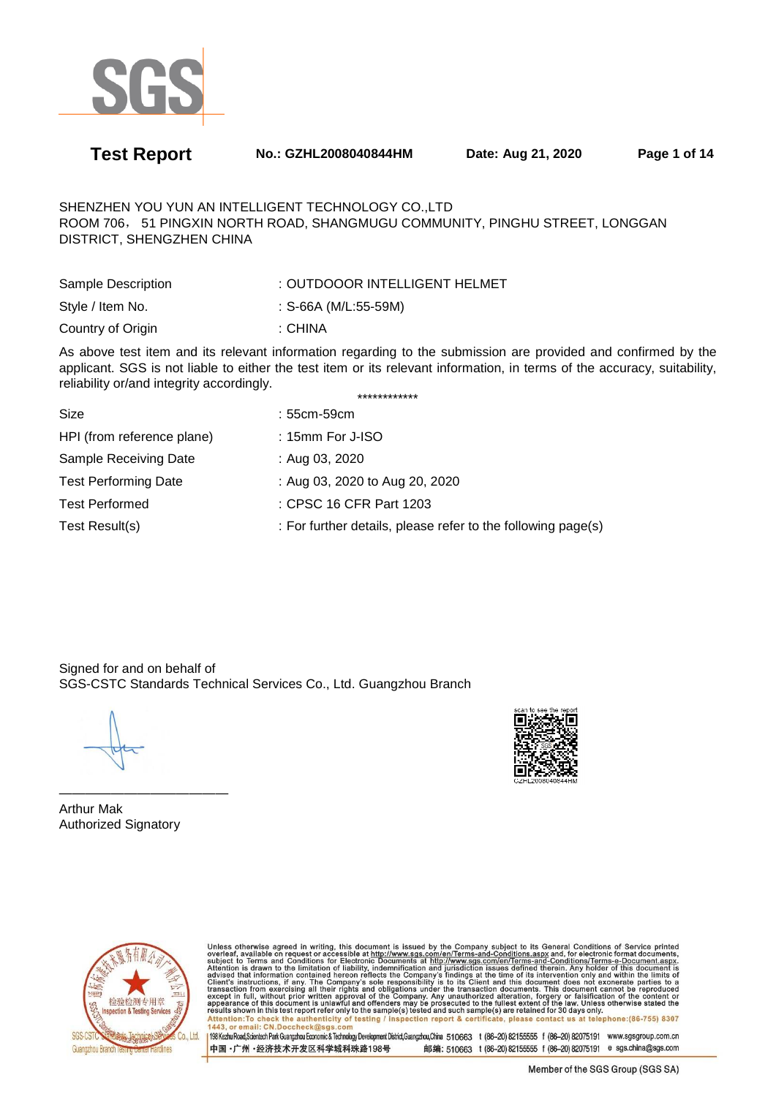

**Test Report No.: GZHL2008040844HM Date: Aug 21, 2020 Page 1 of 14** 

SHENZHEN YOU YUN AN INTELLIGENT TECHNOLOGY CO.,LTD ROOM 706, 51 PINGXIN NORTH ROAD, SHANGMUGU COMMUNITY, PINGHU STREET, LONGGAN DISTRICT, SHENGZHEN CHINA

| Sample Description | : OUTDOOOR INTELLIGENT HELMET |
|--------------------|-------------------------------|
| Style / Item No.   | : S-66A (M/L:55-59M)          |
| Country of Origin  | ∴ CHINA                       |

As above test item and its relevant information regarding to the submission are provided and confirmed by the applicant. SGS is not liable to either the test item or its relevant information, in terms of the accuracy, suitability, reliability or/and integrity accordingly. \*\*\*\*\*\*\*\*\*\*\*\*

| Size                        | $:55cm-59cm$                                                 |
|-----------------------------|--------------------------------------------------------------|
| HPI (from reference plane)  | : 15mm For J-ISO                                             |
| Sample Receiving Date       | : Aug 03, 2020                                               |
| <b>Test Performing Date</b> | : Aug 03, 2020 to Aug 20, 2020                               |
| <b>Test Performed</b>       | : CPSC 16 CFR Part 1203                                      |
| Test Result(s)              | : For further details, please refer to the following page(s) |
|                             |                                                              |

Signed for and on behalf of SGS-CSTC Standards Technical Services Co., Ltd. Guangzhou Branch



————————————— Arthur Mak Authorized Signatory



Unless otherwise agreed in writing, this document is issued by the Company subject to its General Conditions of Service printed<br>overleaf, available on request or accessible at http://www.sgs.com/en/Terms-and-Conditions.asp Attention:To check the authenticity of testing / inspection report & certificate, please contact us at telephone:(86-755) 8307<br>1443, or email: CN.Doccheck@sgs.com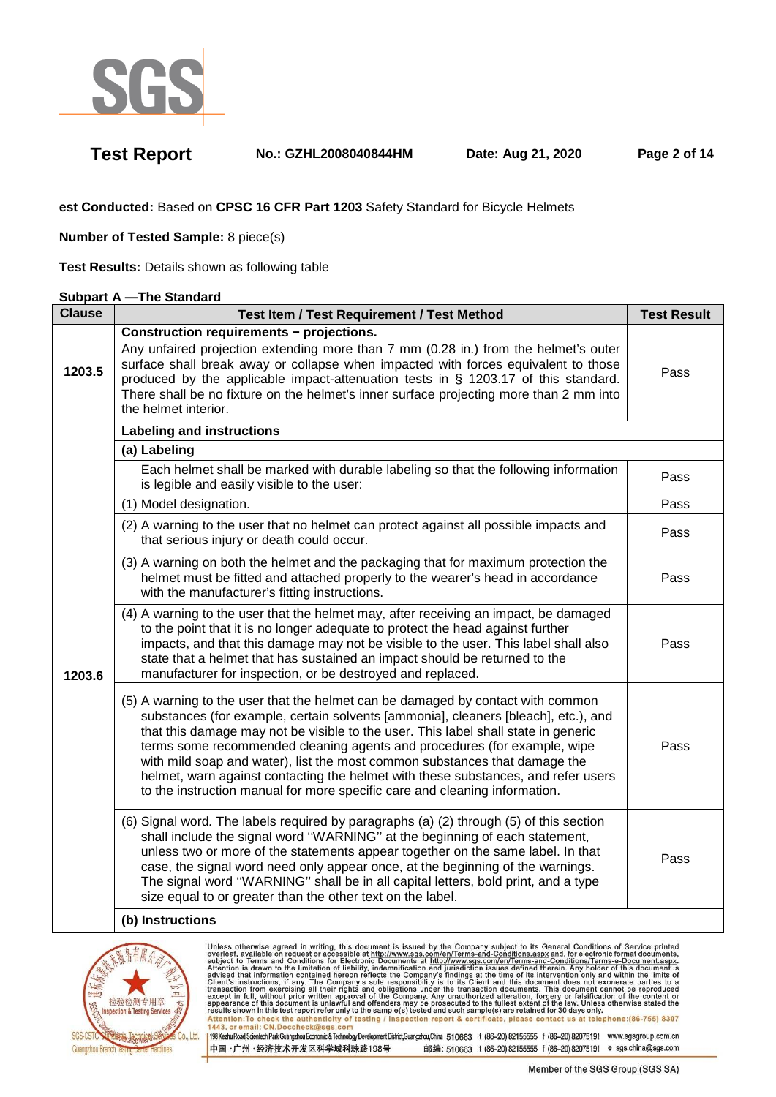

**Test Report No.: GZHL2008040844HM Date: Aug 21, 2020 Page 2 of 14** 

**est Conducted:** Based on **CPSC 16 CFR Part 1203** Safety Standard for Bicycle Helmets

**Number of Tested Sample:** 8 piece(s)

**Test Results:** Details shown as following table

### **Subpart A —The Standard**

| <b>Clause</b> | <b>Test Item / Test Requirement / Test Method</b>                                                                                                                                                                                                                                                                                                                                                                                                                                                                                                                                        | <b>Test Result</b> |
|---------------|------------------------------------------------------------------------------------------------------------------------------------------------------------------------------------------------------------------------------------------------------------------------------------------------------------------------------------------------------------------------------------------------------------------------------------------------------------------------------------------------------------------------------------------------------------------------------------------|--------------------|
| 1203.5        | Construction requirements - projections.<br>Any unfaired projection extending more than 7 mm (0.28 in.) from the helmet's outer<br>surface shall break away or collapse when impacted with forces equivalent to those<br>produced by the applicable impact-attenuation tests in § 1203.17 of this standard.<br>There shall be no fixture on the helmet's inner surface projecting more than 2 mm into<br>the helmet interior.                                                                                                                                                            | Pass               |
|               | <b>Labeling and instructions</b>                                                                                                                                                                                                                                                                                                                                                                                                                                                                                                                                                         |                    |
|               | (a) Labeling                                                                                                                                                                                                                                                                                                                                                                                                                                                                                                                                                                             |                    |
|               | Each helmet shall be marked with durable labeling so that the following information<br>is legible and easily visible to the user:                                                                                                                                                                                                                                                                                                                                                                                                                                                        | Pass               |
|               | (1) Model designation.                                                                                                                                                                                                                                                                                                                                                                                                                                                                                                                                                                   | Pass               |
|               | (2) A warning to the user that no helmet can protect against all possible impacts and<br>that serious injury or death could occur.                                                                                                                                                                                                                                                                                                                                                                                                                                                       | Pass               |
| 1203.6        | (3) A warning on both the helmet and the packaging that for maximum protection the<br>helmet must be fitted and attached properly to the wearer's head in accordance<br>with the manufacturer's fitting instructions.                                                                                                                                                                                                                                                                                                                                                                    | Pass               |
|               | (4) A warning to the user that the helmet may, after receiving an impact, be damaged<br>to the point that it is no longer adequate to protect the head against further<br>impacts, and that this damage may not be visible to the user. This label shall also<br>state that a helmet that has sustained an impact should be returned to the<br>manufacturer for inspection, or be destroyed and replaced.                                                                                                                                                                                | Pass               |
|               | (5) A warning to the user that the helmet can be damaged by contact with common<br>substances (for example, certain solvents [ammonia], cleaners [bleach], etc.), and<br>that this damage may not be visible to the user. This label shall state in generic<br>terms some recommended cleaning agents and procedures (for example, wipe<br>with mild soap and water), list the most common substances that damage the<br>helmet, warn against contacting the helmet with these substances, and refer users<br>to the instruction manual for more specific care and cleaning information. | Pass               |
|               | (6) Signal word. The labels required by paragraphs (a) (2) through (5) of this section<br>shall include the signal word "WARNING" at the beginning of each statement,<br>unless two or more of the statements appear together on the same label. In that<br>case, the signal word need only appear once, at the beginning of the warnings.<br>The signal word "WARNING" shall be in all capital letters, bold print, and a type<br>size equal to or greater than the other text on the label.                                                                                            | Pass               |
|               | (b) Instructions                                                                                                                                                                                                                                                                                                                                                                                                                                                                                                                                                                         |                    |

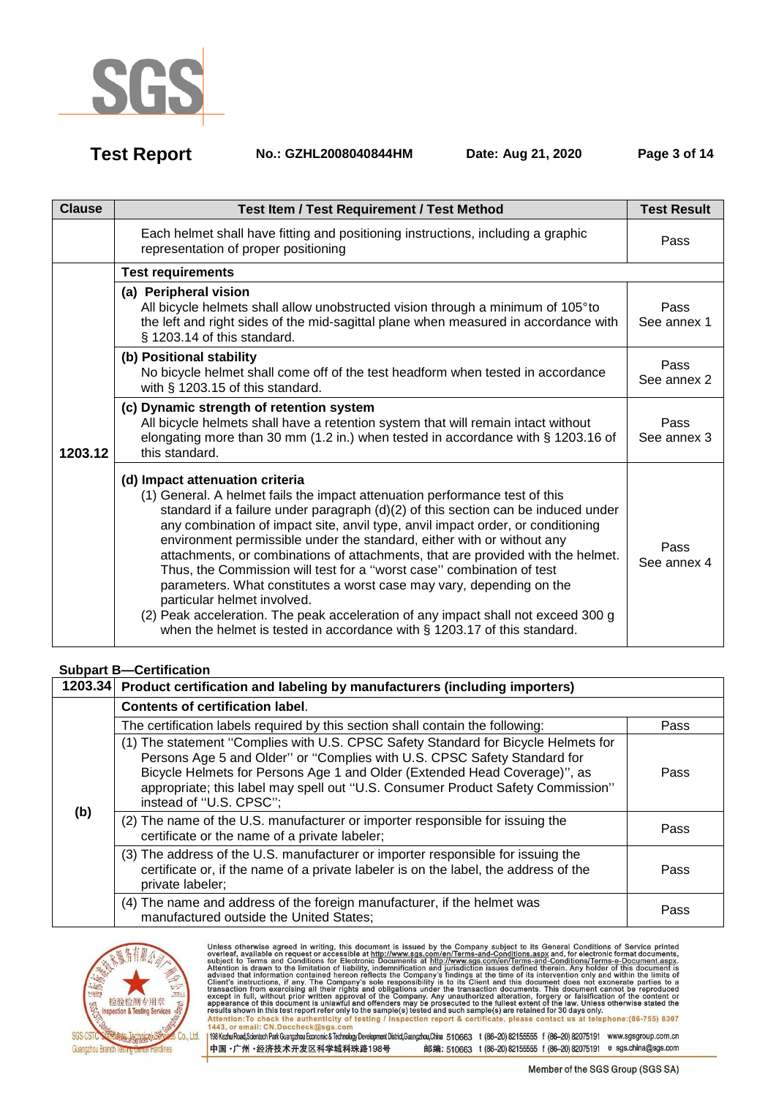

**Test Report No.: GZHL2008040844HM Date: Aug 21, 2020 Page 3 of 14** 

| <b>Clause</b> | <b>Test Item / Test Requirement / Test Method</b>                                                                                                                                                                                                                                                                                                                                                                                                                                                                                                                                                                                                                                                                                                                                                         | <b>Test Result</b>  |
|---------------|-----------------------------------------------------------------------------------------------------------------------------------------------------------------------------------------------------------------------------------------------------------------------------------------------------------------------------------------------------------------------------------------------------------------------------------------------------------------------------------------------------------------------------------------------------------------------------------------------------------------------------------------------------------------------------------------------------------------------------------------------------------------------------------------------------------|---------------------|
|               | Each helmet shall have fitting and positioning instructions, including a graphic<br>representation of proper positioning                                                                                                                                                                                                                                                                                                                                                                                                                                                                                                                                                                                                                                                                                  | Pass                |
|               | <b>Test requirements</b>                                                                                                                                                                                                                                                                                                                                                                                                                                                                                                                                                                                                                                                                                                                                                                                  |                     |
|               | (a) Peripheral vision<br>All bicycle helmets shall allow unobstructed vision through a minimum of 105°to<br>the left and right sides of the mid-sagittal plane when measured in accordance with<br>§ 1203.14 of this standard.                                                                                                                                                                                                                                                                                                                                                                                                                                                                                                                                                                            | Pass<br>See annex 1 |
|               | (b) Positional stability<br>No bicycle helmet shall come off of the test headform when tested in accordance<br>with § 1203.15 of this standard.                                                                                                                                                                                                                                                                                                                                                                                                                                                                                                                                                                                                                                                           | Pass<br>See annex 2 |
| 1203.12       | (c) Dynamic strength of retention system<br>All bicycle helmets shall have a retention system that will remain intact without<br>elongating more than 30 mm (1.2 in.) when tested in accordance with § 1203.16 of<br>this standard.                                                                                                                                                                                                                                                                                                                                                                                                                                                                                                                                                                       | Pass<br>See annex 3 |
|               | (d) Impact attenuation criteria<br>(1) General. A helmet fails the impact attenuation performance test of this<br>standard if a failure under paragraph $(d)(2)$ of this section can be induced under<br>any combination of impact site, anvil type, anvil impact order, or conditioning<br>environment permissible under the standard, either with or without any<br>attachments, or combinations of attachments, that are provided with the helmet.<br>Thus, the Commission will test for a "worst case" combination of test<br>parameters. What constitutes a worst case may vary, depending on the<br>particular helmet involved.<br>(2) Peak acceleration. The peak acceleration of any impact shall not exceed 300 g<br>when the helmet is tested in accordance with $\S$ 1203.17 of this standard. | Pass<br>See annex 4 |

## **Subpart B—Certification**

|     | 1203.34 Product certification and labeling by manufacturers (including importers)                                                                                                                                                                                                                                                                         |      |
|-----|-----------------------------------------------------------------------------------------------------------------------------------------------------------------------------------------------------------------------------------------------------------------------------------------------------------------------------------------------------------|------|
|     | <b>Contents of certification label.</b>                                                                                                                                                                                                                                                                                                                   |      |
|     | The certification labels required by this section shall contain the following:                                                                                                                                                                                                                                                                            | Pass |
|     | (1) The statement "Complies with U.S. CPSC Safety Standard for Bicycle Helmets for<br>Persons Age 5 and Older" or "Complies with U.S. CPSC Safety Standard for<br>Bicycle Helmets for Persons Age 1 and Older (Extended Head Coverage)", as<br>appropriate; this label may spell out "U.S. Consumer Product Safety Commission"<br>instead of "U.S. CPSC"; | Pass |
| (b) | (2) The name of the U.S. manufacturer or importer responsible for issuing the<br>certificate or the name of a private labeler;                                                                                                                                                                                                                            |      |
|     | (3) The address of the U.S. manufacturer or importer responsible for issuing the<br>certificate or, if the name of a private labeler is on the label, the address of the<br>private labeler;                                                                                                                                                              | Pass |
|     | (4) The name and address of the foreign manufacturer, if the helmet was<br>manufactured outside the United States;                                                                                                                                                                                                                                        | Pass |

中国·广州·经济技术开发区科学城科珠路198号



Unless otherwise agreed in writing, this document is issued by the Company subject to its General Conditions of Service printed<br>overleaf, available on request or accessible at http://www.sgs.com/en/Terms-and-Conditions.asp Passission in this essent point of the samplets) issued and such samplets are retained to so days only the samplet of the authenticity of testing / inspection report & certificate, please contact us at telephone: (86-755) 198 Kezhu Road,Scientech Park Guangzhou Economic & Technology Development District,Guangzhou,China 510663 t (86-20) 82155555 f (86-20) 82075191 www.sgsgroup.com.cn

Member of the SGS Group (SGS SA)

邮编: 510663 t (86-20) 82155555 f (86-20) 82075191 e sgs.china@sgs.com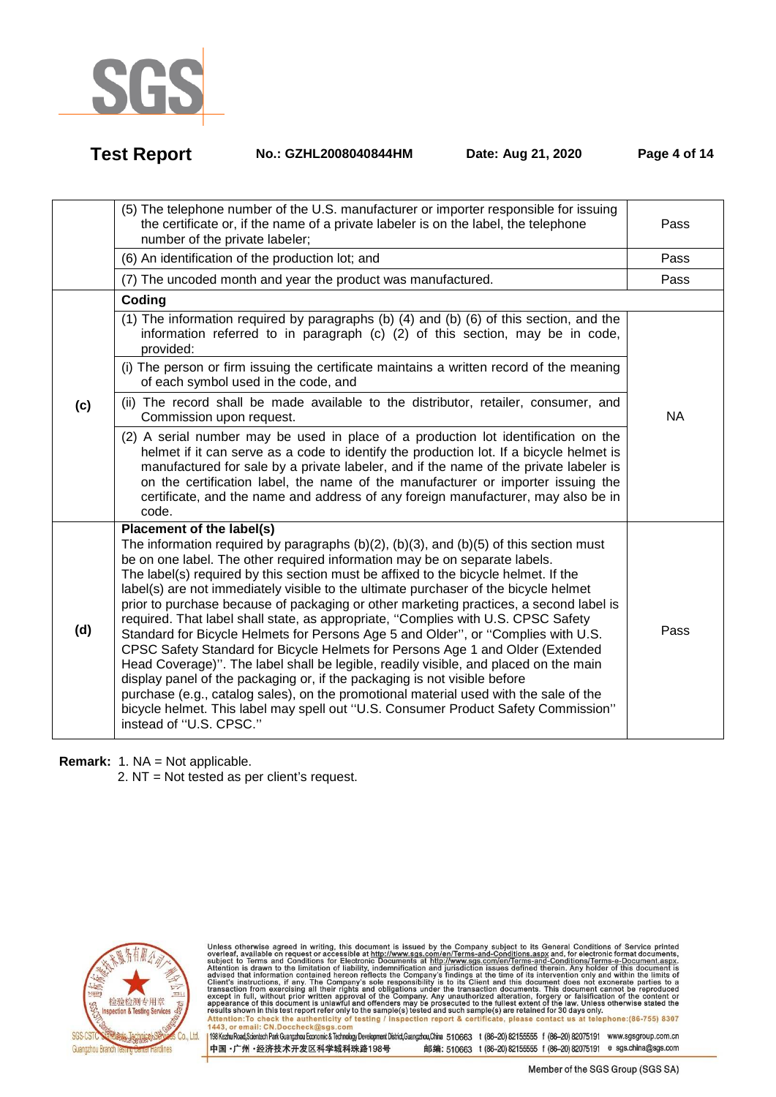

**Test Report No.: GZHL2008040844HM Date: Aug 21, 2020 Page 4 of 14** 

|     | (5) The telephone number of the U.S. manufacturer or importer responsible for issuing<br>the certificate or, if the name of a private labeler is on the label, the telephone<br>number of the private labeler;                                                                                                                                                                                                                                                                                                                                                                                                                                                                                                                                                                                                                                                                                                                                                                                                                                                                                                        | Pass      |
|-----|-----------------------------------------------------------------------------------------------------------------------------------------------------------------------------------------------------------------------------------------------------------------------------------------------------------------------------------------------------------------------------------------------------------------------------------------------------------------------------------------------------------------------------------------------------------------------------------------------------------------------------------------------------------------------------------------------------------------------------------------------------------------------------------------------------------------------------------------------------------------------------------------------------------------------------------------------------------------------------------------------------------------------------------------------------------------------------------------------------------------------|-----------|
|     | (6) An identification of the production lot; and                                                                                                                                                                                                                                                                                                                                                                                                                                                                                                                                                                                                                                                                                                                                                                                                                                                                                                                                                                                                                                                                      | Pass      |
|     | (7) The uncoded month and year the product was manufactured.                                                                                                                                                                                                                                                                                                                                                                                                                                                                                                                                                                                                                                                                                                                                                                                                                                                                                                                                                                                                                                                          | Pass      |
|     | Coding                                                                                                                                                                                                                                                                                                                                                                                                                                                                                                                                                                                                                                                                                                                                                                                                                                                                                                                                                                                                                                                                                                                |           |
|     | (1) The information required by paragraphs (b) (4) and (b) (6) of this section, and the<br>information referred to in paragraph (c) (2) of this section, may be in code,<br>provided:                                                                                                                                                                                                                                                                                                                                                                                                                                                                                                                                                                                                                                                                                                                                                                                                                                                                                                                                 |           |
|     | (i) The person or firm issuing the certificate maintains a written record of the meaning<br>of each symbol used in the code, and                                                                                                                                                                                                                                                                                                                                                                                                                                                                                                                                                                                                                                                                                                                                                                                                                                                                                                                                                                                      |           |
| (c) | (ii) The record shall be made available to the distributor, retailer, consumer, and<br>Commission upon request.                                                                                                                                                                                                                                                                                                                                                                                                                                                                                                                                                                                                                                                                                                                                                                                                                                                                                                                                                                                                       | <b>NA</b> |
|     | (2) A serial number may be used in place of a production lot identification on the<br>helmet if it can serve as a code to identify the production lot. If a bicycle helmet is<br>manufactured for sale by a private labeler, and if the name of the private labeler is<br>on the certification label, the name of the manufacturer or importer issuing the<br>certificate, and the name and address of any foreign manufacturer, may also be in<br>code.                                                                                                                                                                                                                                                                                                                                                                                                                                                                                                                                                                                                                                                              |           |
| (d) | Placement of the label(s)<br>The information required by paragraphs (b)(2), (b)(3), and (b)(5) of this section must<br>be on one label. The other required information may be on separate labels.<br>The label(s) required by this section must be affixed to the bicycle helmet. If the<br>label(s) are not immediately visible to the ultimate purchaser of the bicycle helmet<br>prior to purchase because of packaging or other marketing practices, a second label is<br>required. That label shall state, as appropriate, "Complies with U.S. CPSC Safety<br>Standard for Bicycle Helmets for Persons Age 5 and Older", or "Complies with U.S.<br>CPSC Safety Standard for Bicycle Helmets for Persons Age 1 and Older (Extended<br>Head Coverage)". The label shall be legible, readily visible, and placed on the main<br>display panel of the packaging or, if the packaging is not visible before<br>purchase (e.g., catalog sales), on the promotional material used with the sale of the<br>bicycle helmet. This label may spell out "U.S. Consumer Product Safety Commission"<br>instead of "U.S. CPSC." | Pass      |

**Remark:** 1. NA = Not applicable.

2. NT = Not tested as per client's request.



Unless otherwise agreed in writing, this document is issued by the Company subject to its General Conditions of Service printed<br>overleaf, available on request or accessible at http://www.sgs.com/en/Terms-and-Conditions.asp Passission in this essent point of the samplets) issued and such samplets are retained to so days only the samplet of the authenticity of testing / inspection report & certificate, please contact us at telephone: (86-755)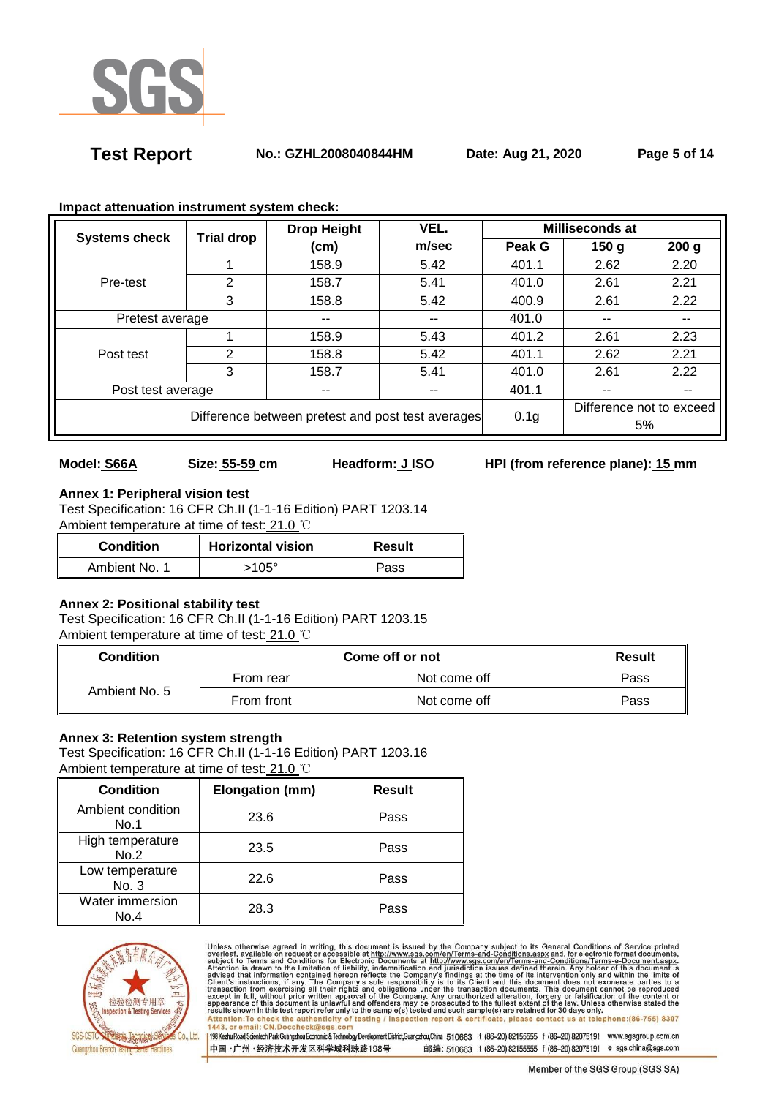

**Test Report No.: GZHL2008040844HM Date: Aug 21, 2020 Page 5 of 14** 

| <b>Systems check</b>                              | <b>Trial drop</b> | VEL.<br><b>Drop Height</b> |                  | <b>Milliseconds at</b> |                          |                  |
|---------------------------------------------------|-------------------|----------------------------|------------------|------------------------|--------------------------|------------------|
|                                                   |                   | (cm)                       | m/sec            | Peak G                 | 150 <sub>g</sub>         | 200 <sub>g</sub> |
|                                                   |                   | 158.9                      | 5.42             | 401.1                  | 2.62                     | 2.20             |
| Pre-test                                          | 2                 | 158.7                      | 5.41             | 401.0                  | 2.61                     | 2.21             |
|                                                   | 3                 | 158.8                      | 5.42             | 400.9                  | 2.61                     | 2.22             |
| Pretest average                                   |                   | --                         | $- -$            | 401.0                  |                          | $- -$            |
|                                                   |                   | 158.9                      | 5.43             | 401.2                  | 2.61                     | 2.23             |
| Post test                                         | 2                 | 158.8                      | 5.42             | 401.1                  | 2.62                     | 2.21             |
|                                                   | 3                 | 158.7                      | 5.41             | 401.0                  | 2.61                     | 2.22             |
| Post test average<br>--                           |                   | --                         | 401.1            | --                     | --                       |                  |
| Difference between pretest and post test averages |                   |                            | 0.1 <sub>g</sub> |                        | Difference not to exceed |                  |
|                                                   |                   |                            |                  |                        | 5%                       |                  |

### **Impact attenuation instrument system check:**

## **Model: S66A Size: 55-59 cm Headform: J ISO HPI (from reference plane): 15 mm**

**Annex 1: Peripheral vision test** Test Specification: 16 CFR Ch.II (1-1-16 Edition) PART 1203.14 Ambient temperature at time of test: 21.0 ℃

| <b>Condition</b> | <b>Horizontal vision</b> | Result |
|------------------|--------------------------|--------|
| Ambient No. 1    | 105°                     | Pass   |

## **Annex 2: Positional stability test**

Test Specification: 16 CFR Ch.II (1-1-16 Edition) PART 1203.15 Ambient temperature at time of test: 21.0 ℃

| <b>Condition</b> |            | Result       |      |
|------------------|------------|--------------|------|
| Ambient No. 5    | From rear  | Not come off | Pass |
|                  | From front | Not come off | Pass |

## **Annex 3: Retention system strength**

Test Specification: 16 CFR Ch.II (1-1-16 Edition) PART 1203.16 Ambient temperature at time of test: 21.0 ℃

| <b>Condition</b>          | Elongation (mm) | <b>Result</b> |
|---------------------------|-----------------|---------------|
| Ambient condition<br>No.1 | 23.6            | Pass          |
| High temperature<br>No.2  | 23.5            | Pass          |
| Low temperature<br>No. 3  | 22.6            | Pass          |
| Water immersion<br>No.4   | 28.3            | Pass          |



Unless otherwise agreed in writing, this document is issued by the Company subject to its General Conditions of Service printed<br>overleaf, available on request or accessible at http://www.sgs.com/en/Terms-and-Conditions.asp Attention:To check the authenticity of testing / inspection report & certificate, please contact us at telephone:(86-755) 8307<br>1443, or email: CN.Doccheck@sgs.com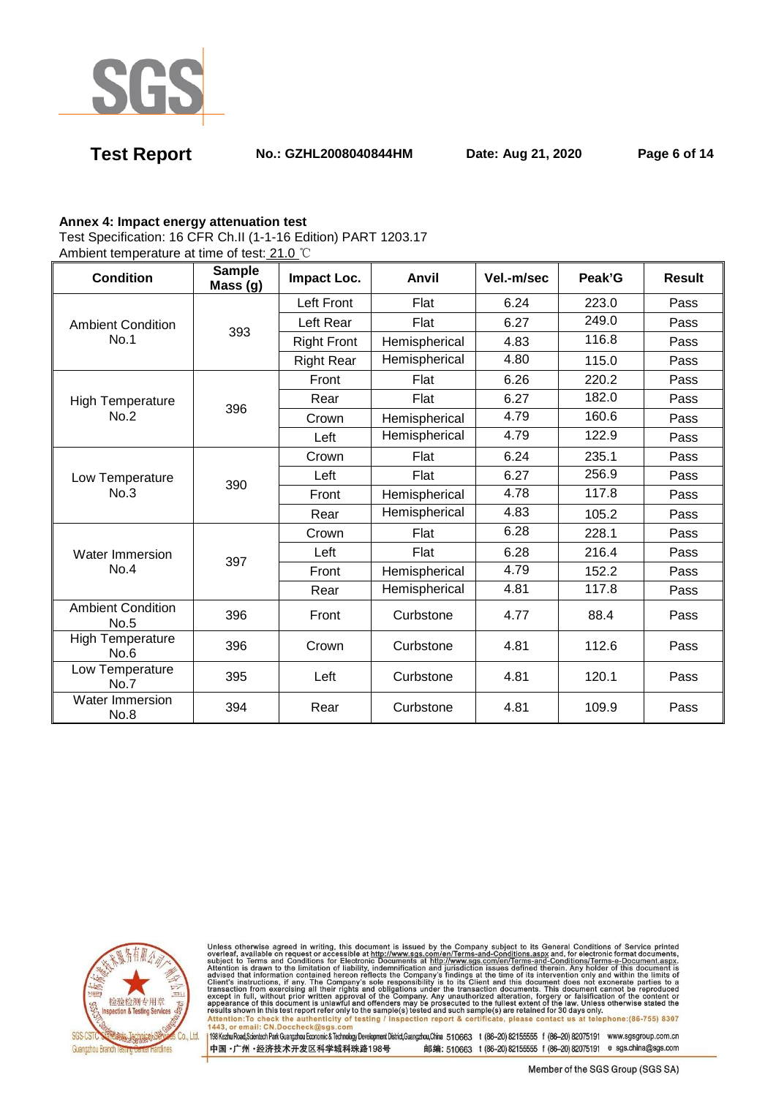

**Test Report No.: GZHL2008040844HM Date: Aug 21, 2020 Page 6 of 14** 

### **Annex 4: Impact energy attenuation test**

Test Specification: 16 CFR Ch.II (1-1-16 Edition) PART 1203.17

Ambient temperature at time of test: 21.0 ℃

| <b>Condition</b>                 | Sample<br>Mass (g) | Impact Loc.        | Anvil         | Vel.-m/sec | Peak'G | <b>Result</b> |
|----------------------------------|--------------------|--------------------|---------------|------------|--------|---------------|
|                                  |                    | Left Front         | Flat          | 6.24       | 223.0  | Pass          |
| <b>Ambient Condition</b>         | 393                | Left Rear          | Flat          | 6.27       | 249.0  | Pass          |
| No.1                             |                    | <b>Right Front</b> | Hemispherical | 4.83       | 116.8  | Pass          |
|                                  |                    | <b>Right Rear</b>  | Hemispherical | 4.80       | 115.0  | Pass          |
|                                  |                    | Front              | Flat          | 6.26       | 220.2  | Pass          |
| <b>High Temperature</b>          | 396                | Rear               | Flat          | 6.27       | 182.0  | Pass          |
| No.2                             |                    | Crown              | Hemispherical | 4.79       | 160.6  | Pass          |
|                                  |                    | Left               | Hemispherical | 4.79       | 122.9  | Pass          |
|                                  | 390                | Crown              | Flat          | 6.24       | 235.1  | Pass          |
| Low Temperature                  |                    | Left               | Flat          | 6.27       | 256.9  | Pass          |
| No.3                             |                    | Front              | Hemispherical | 4.78       | 117.8  | Pass          |
|                                  |                    | Rear               | Hemispherical | 4.83       | 105.2  | Pass          |
|                                  | 397                | Crown              | Flat          | 6.28       | 228.1  | Pass          |
| Water Immersion                  |                    | Left               | Flat          | 6.28       | 216.4  | Pass          |
| No.4                             |                    | Front              | Hemispherical | 4.79       | 152.2  | Pass          |
|                                  |                    | Rear               | Hemispherical | 4.81       | 117.8  | Pass          |
| <b>Ambient Condition</b><br>No.5 | 396                | Front              | Curbstone     | 4.77       | 88.4   | Pass          |
| <b>High Temperature</b><br>No.6  | 396                | Crown              | Curbstone     | 4.81       | 112.6  | Pass          |
| Low Temperature<br>No.7          | 395                | Left               | Curbstone     | 4.81       | 120.1  | Pass          |
| Water Immersion<br>No.8          | 394                | Rear               | Curbstone     | 4.81       | 109.9  | Pass          |



Unless otherwise agreed in writing, this document is issued by the Company subject to its General Conditions of Service printed<br>overleaf, available on request or accessible at http://www.sgs.com/en/Terms-and-Conditions.asp Attention: To check the authenticity of testing / inspection report & certificate, please contact us at telephone: (86-755) 8307<br>1443, or email: CN.Doccheck@sgs.com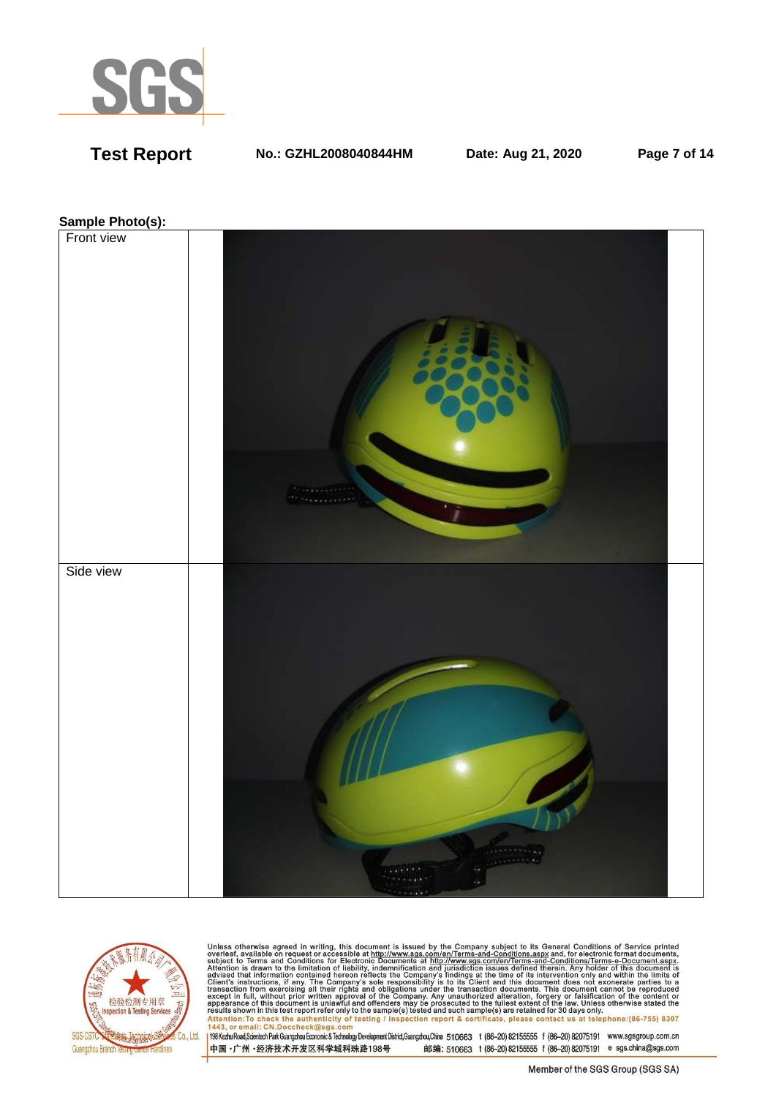

**Test Report No.: GZHL2008040844HM Date: Aug 21, 2020 Page 7 of 14** 

### **Sample Photo(s):**





Unless otherwise agreed in writing, this document is issued by the Company subject to its General Conditions of Service printed<br>overleaf, available on request or accessible at http://www.sgs.com/en/Terms-and-Conditions.as Passission in this essent point of the samplets) issued and such samplets are retained to so days only the samplet of the authenticity of testing / inspection report & certificate, please contact us at telephone: (86-755)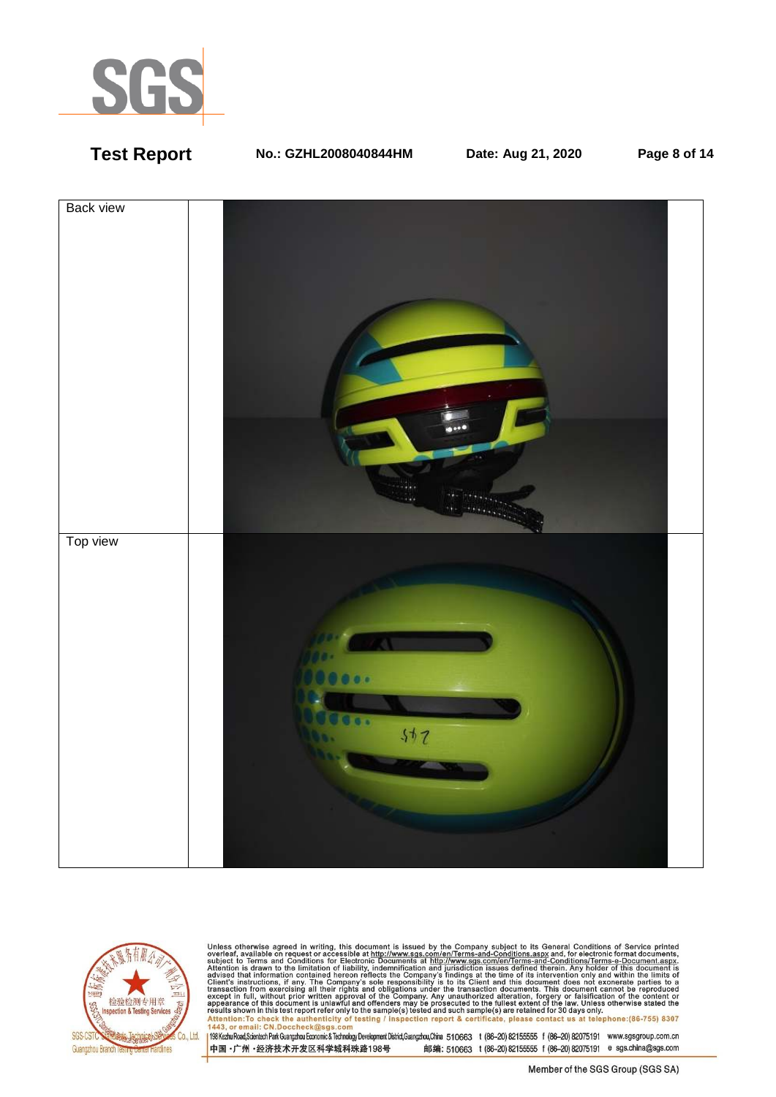

# **Test Report No.: GZHL2008040844HM Date: Aug 21, 2020 Page 8 of 14**





Unless otherwise agreed in writing, this document is issued by the Company subject to its General Conditions of Service printed<br>overleaf, available on request or accessible at http://www.sgs.com/en/Terms-and-Conditions.as resums shown in una essere point eneroiny to une samplets) rester and such samplets are retained to 50 usys omn<br>Attention:To check the authenticity of testing / inspection report & certificate, please contact us at telep

中国·广州·经济技术开发区科学城科珠路198号 邮编: 510663 t (86-20) 82155555 f (86-20) 82075191 e sgs.china@sgs.com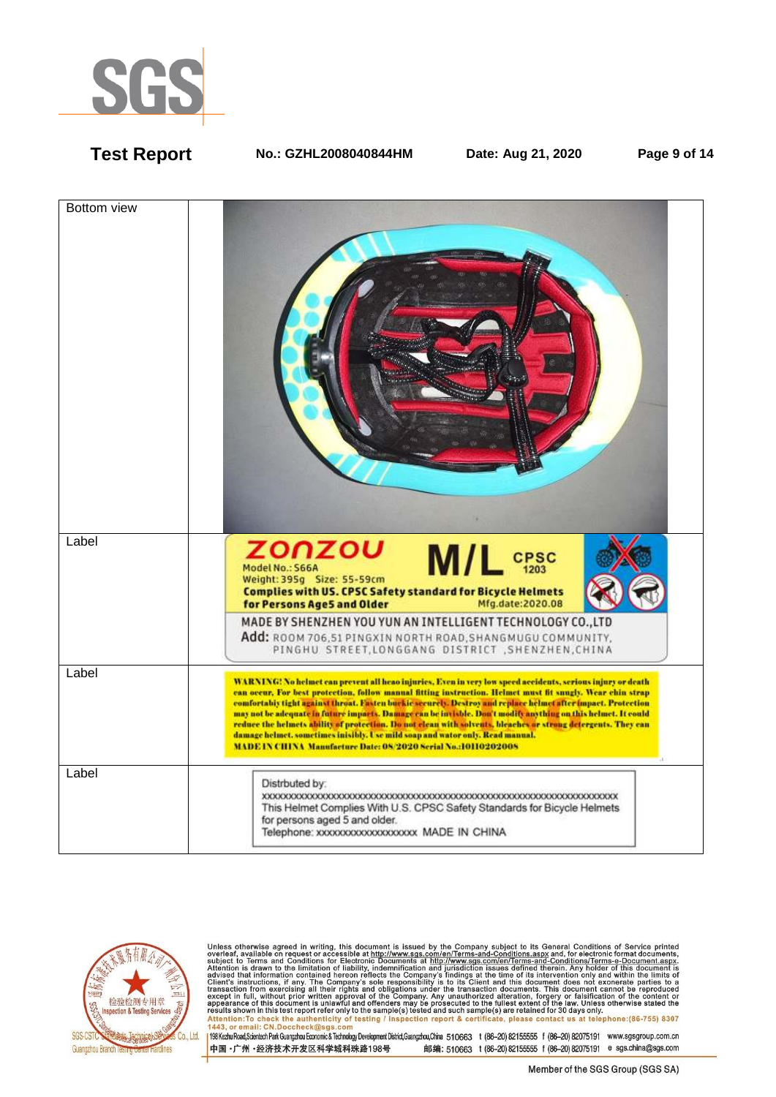

**Test Report No.: GZHL2008040844HM Date: Aug 21, 2020 Page 9 of 14** 





Unless otherwise agreed in writing, this document is issued by the Company subject to its General Conditions of Service printed<br>overleaf, available on request or accessible at http://www.sgs.com/en/Terms-and-Conditions.as Attention: To check the authenticity of testing / inspection report & certificate, please contact us at telephone: (86-755) 8307<br>1443, or email: CN.Doccheck@sgs.com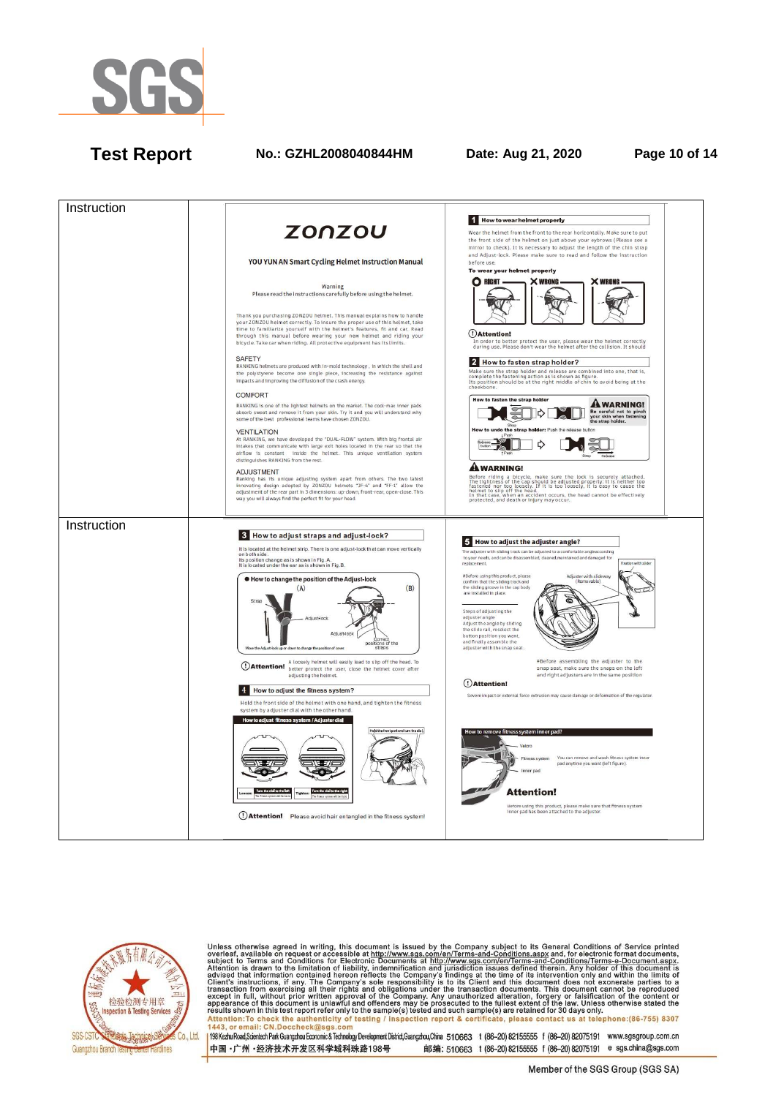

# **Test Report No.: GZHL2008040844HM Date: Aug 21, 2020 Page 10 of 14**





Unless otherwise agreed in writing, this document is issued by the Company subject to its General Conditions of Service printed<br>overleaf, available on request or accessible at http://www.sgs.com/en/Terms-and-Conditions.as Attention: To check the authenticity of testing / inspection report & certificate, please contact us at telephone: (86-755) 8307<br>1443, or email: CN.Doccheck@sqs.com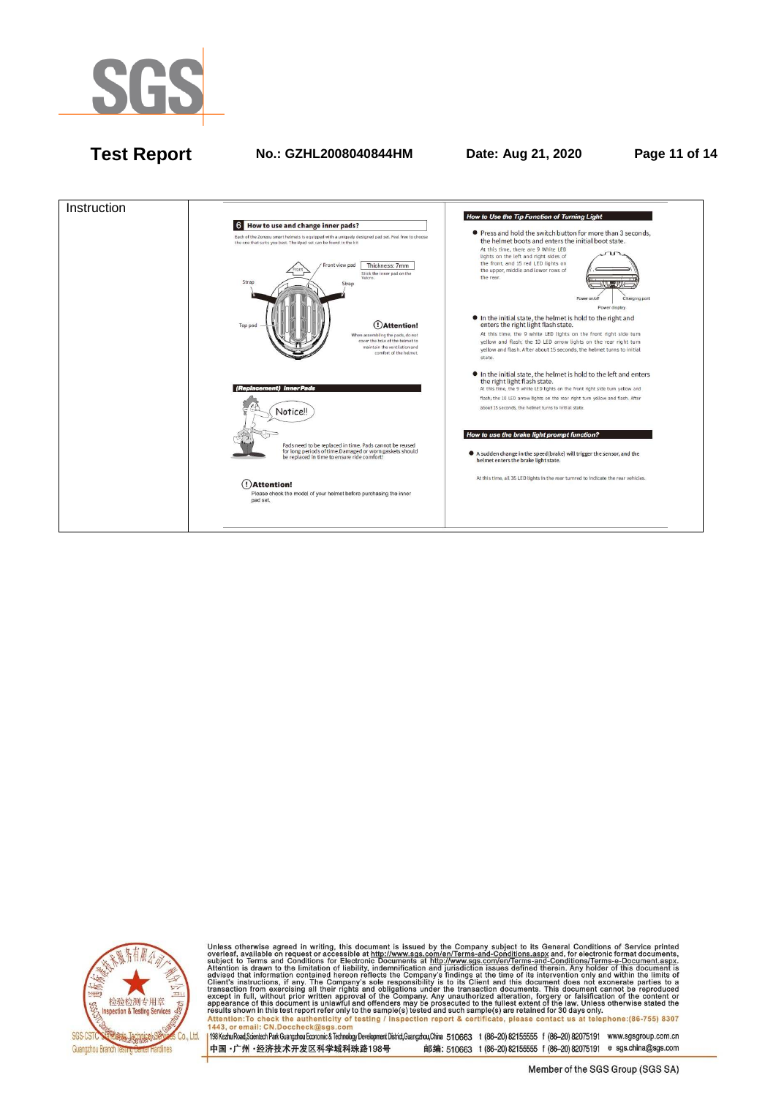

# **Test Report No.: GZHL2008040844HM Date: Aug 21, 2020 Page 11 of 14**





Unless otherwise agreed in writing, this document is issued by the Company subject to its General Conditions of Service printed<br>overleaf, available on request or accessible at http://www.sgs.com/en/Terms-and-Conditions.as Attention: To check the authenticity of testing / inspection report & certificate, please contact us at telephone: (86-755) 8307<br>1443, or email: CN.Doccheck@sqs.com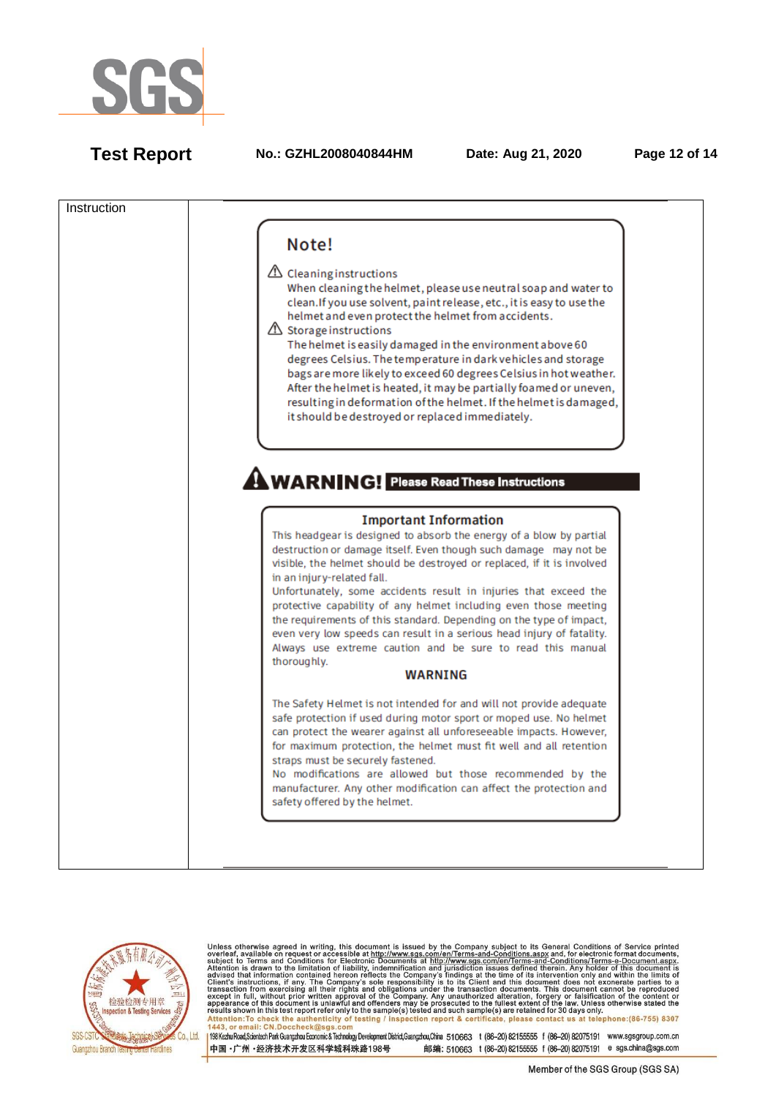

**Test Report No.: GZHL2008040844HM Date: Aug 21, 2020 Page 12 of 14**





Unless otherwise agreed in writing, this document is issued by the Company subject to its General Conditions of Service printed<br>overleaf, available on request or accessible at http://www.sgs.com/en/Terms-and-Conditions.asp Attention:To check the authenticity of testing / inspection report & certificate, please contact us at telephone:(86-755) 8307 1443, or email: CN.Doccheck@sgs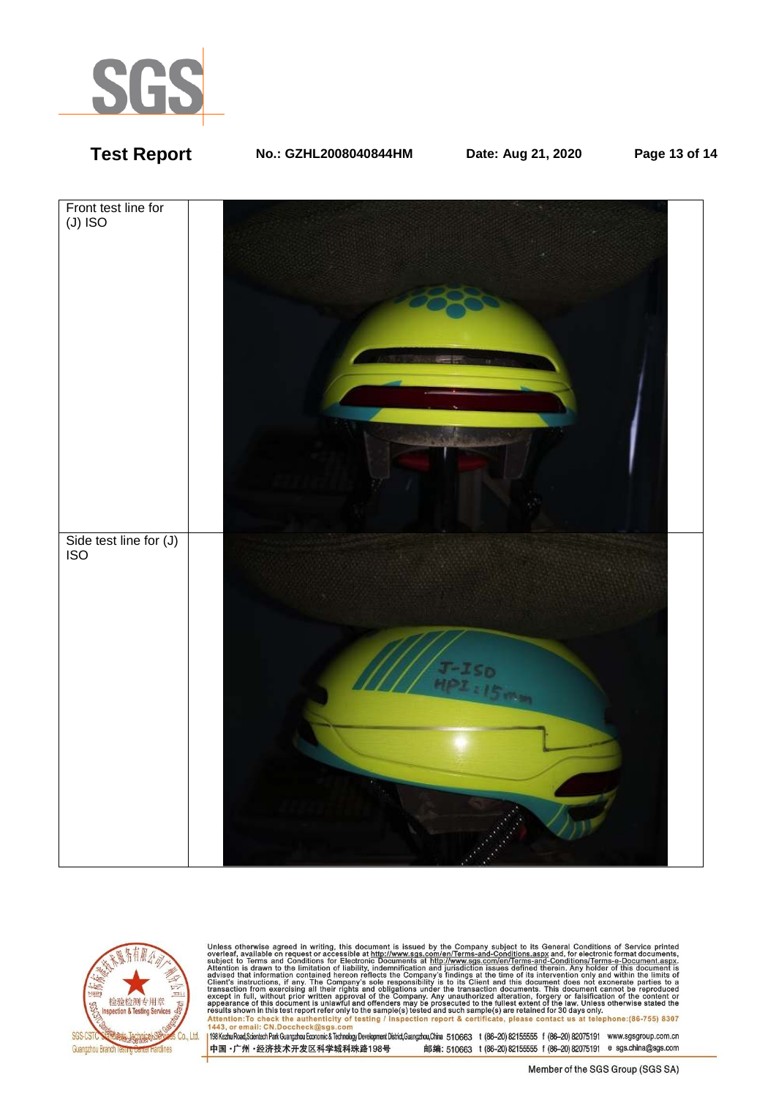

# **Test Report No.: GZHL2008040844HM Date: Aug 21, 2020 Page 13 of 14**





Unless otherwise agreed in writing, this document is issued by the Company subject to its General Conditions of Service printed<br>overleaf, available on request or accessible at http://www.sgs.com/en/Terms-and-Conditions.as Passission in this essent point of the samplets) issued and such samplets are retained to so days only the samplet of the authenticity of testing / inspection report & certificate, please contact us at telephone: (86-755)